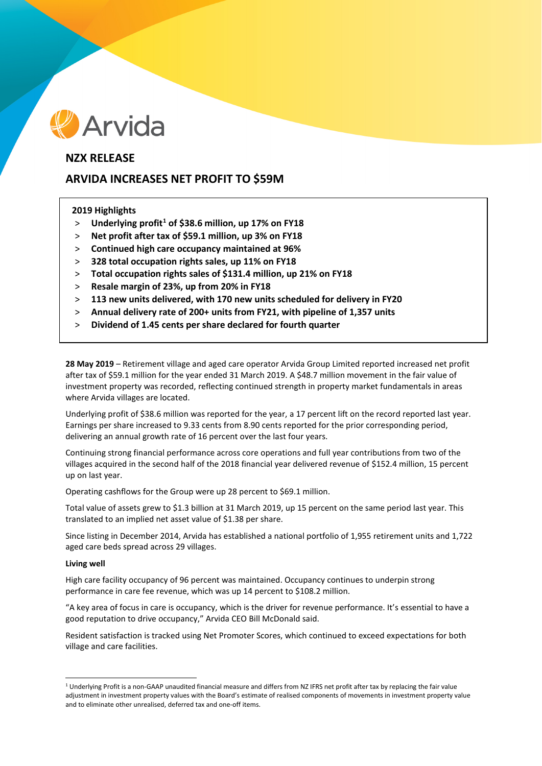

# **NZX RELEASE**

# **ARVIDA INCREASES NET PROFIT TO \$59M**

# **2019 Highlights**

- > **Underlying profit[1](#page-0-0) of \$38.6 million, up 17% on FY18**
- > **Net profit after tax of \$59.1 million, up 3% on FY18**
- > **Continued high care occupancy maintained at 96%**
- > **328 total occupation rights sales, up 11% on FY18**
- > **Total occupation rights sales of \$131.4 million, up 21% on FY18**
- > **Resale margin of 23%, up from 20% in FY18**
- > **113 new units delivered, with 170 new units scheduled for delivery in FY20**
- > **Annual delivery rate of 200+ units from FY21, with pipeline of 1,357 units**
- > **Dividend of 1.45 cents per share declared for fourth quarter**

**28 May 2019** – Retirement village and aged care operator Arvida Group Limited reported increased net profit after tax of \$59.1 million for the year ended 31 March 2019. A \$48.7 million movement in the fair value of investment property was recorded, reflecting continued strength in property market fundamentals in areas where Arvida villages are located.

Underlying profit of \$38.6 million was reported for the year, a 17 percent lift on the record reported last year. Earnings per share increased to 9.33 cents from 8.90 cents reported for the prior corresponding period, delivering an annual growth rate of 16 percent over the last four years.

Continuing strong financial performance across core operations and full year contributions from two of the villages acquired in the second half of the 2018 financial year delivered revenue of \$152.4 million, 15 percent up on last year.

Operating cashflows for the Group were up 28 percent to \$69.1 million.

Total value of assets grew to \$1.3 billion at 31 March 2019, up 15 percent on the same period last year. This translated to an implied net asset value of \$1.38 per share.

Since listing in December 2014, Arvida has established a national portfolio of 1,955 retirement units and 1,722 aged care beds spread across 29 villages.

## **Living well**

High care facility occupancy of 96 percent was maintained. Occupancy continues to underpin strong performance in care fee revenue, which was up 14 percent to \$108.2 million.

"A key area of focus in care is occupancy, which is the driver for revenue performance. It's essential to have a good reputation to drive occupancy," Arvida CEO Bill McDonald said.

Resident satisfaction is tracked using Net Promoter Scores, which continued to exceed expectations for both village and care facilities.

<span id="page-0-0"></span> $1$  Underlying Profit is a non-GAAP unaudited financial measure and differs from NZ IFRS net profit after tax by replacing the fair value adjustment in investment property values with the Board's estimate of realised components of movements in investment property value and to eliminate other unrealised, deferred tax and one-off items.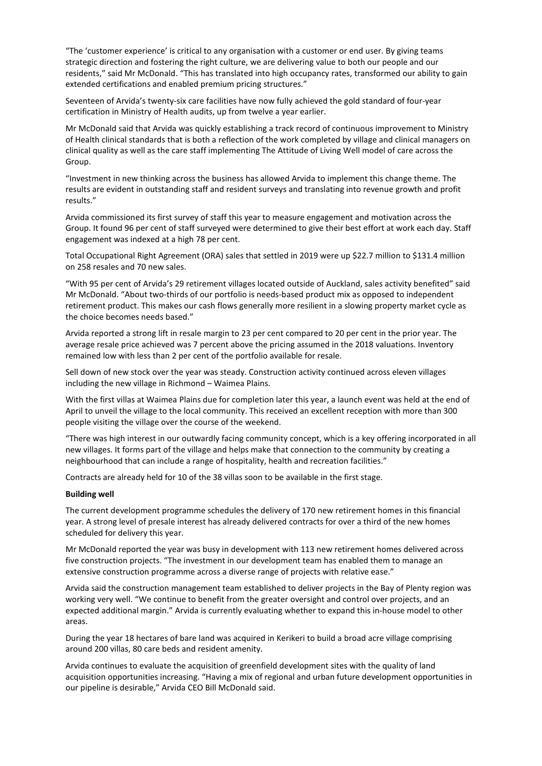"The 'customer experience' is critical to any organisation with a customer or end user. By giving teams strategic direction and fostering the right culture, we are delivering value to both our people and our residents," said Mr McDonald. "This has translated into high occupancy rates, transformed our ability to gain extended certifications and enabled premium pricing structures."

Seventeen of Arvida's twenty-six care facilities have now fully achieved the gold standard of four-year certification in Ministry of Health audits, up from twelve a year earlier.

Mr McDonald said that Arvida was quickly establishing a track record of continuous improvement to Ministry of Health clinical standards that is both a reflection of the work completed by village and clinical managers on clinical quality as well as the care staff implementing The Attitude of Living Well model of care across the Group.

"Investment in new thinking across the business has allowed Arvida to implement this change theme. The results are evident in outstanding staff and resident surveys and translating into revenue growth and profit results."

Arvida commissioned its first survey of staff this year to measure engagement and motivation across the Group. It found 96 per cent of staff surveyed were determined to give their best effort at work each day. Staff engagement was indexed at a high 78 per cent.

Total Occupational Right Agreement (ORA) sales that settled in 2019 were up \$22.7 million to \$131.4 million on 258 resales and 70 new sales.

"With 95 per cent of Arvida's 29 retirement villages located outside of Auckland, sales activity benefited" said Mr McDonald. "About two-thirds of our portfolio is needs-based product mix as opposed to independent retirement product. This makes our cash flows generally more resilient in a slowing property market cycle as the choice becomes needs based."

Arvida reported a strong lift in resale margin to 23 per cent compared to 20 per cent in the prior year. The average resale price achieved was 7 percent above the pricing assumed in the 2018 valuations. Inventory remained low with less than 2 per cent of the portfolio available for resale.

Sell down of new stock over the year was steady. Construction activity continued across eleven villages including the new village in Richmond – Waimea Plains.

With the first villas at Waimea Plains due for completion later this year, a launch event was held at the end of April to unveil the village to the local community. This received an excellent reception with more than 300 people visiting the village over the course of the weekend.

"There was high interest in our outwardly facing community concept, which is a key offering incorporated in all new villages. It forms part of the village and helps make that connection to the community by creating a neighbourhood that can include a range of hospitality, health and recreation facilities."

Contracts are already held for 10 of the 38 villas soon to be available in the first stage.

## **Building well**

The current development programme schedules the delivery of 170 new retirement homes in this financial year. A strong level of presale interest has already delivered contracts for over a third of the new homes scheduled for delivery this year.

Mr McDonald reported the year was busy in development with 113 new retirement homes delivered across five construction projects. "The investment in our development team has enabled them to manage an extensive construction programme across a diverse range of projects with relative ease."

Arvida said the construction management team established to deliver projects in the Bay of Plenty region was working very well. "We continue to benefit from the greater oversight and control over projects, and an expected additional margin." Arvida is currently evaluating whether to expand this in-house model to other areas.

During the year 18 hectares of bare land was acquired in Kerikeri to build a broad acre village comprising around 200 villas, 80 care beds and resident amenity.

Arvida continues to evaluate the acquisition of greenfield development sites with the quality of land acquisition opportunities increasing. "Having a mix of regional and urban future development opportunities in our pipeline is desirable," Arvida CEO Bill McDonald said.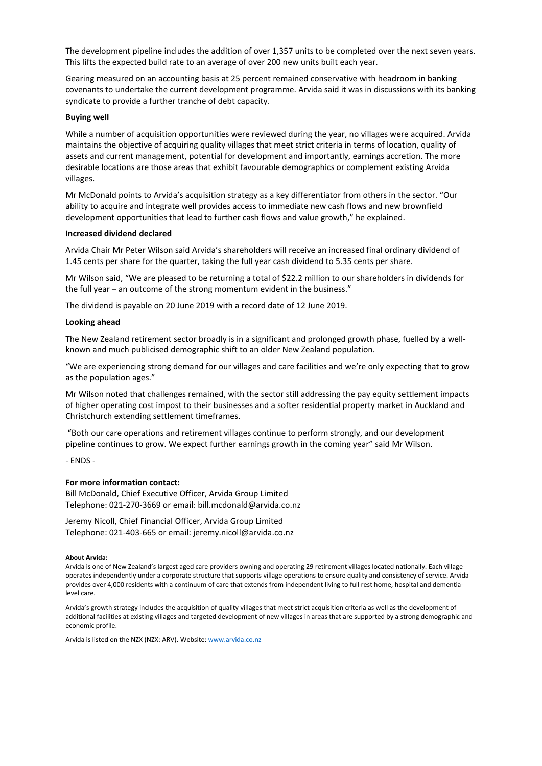The development pipeline includes the addition of over 1,357 units to be completed over the next seven years. This lifts the expected build rate to an average of over 200 new units built each year.

Gearing measured on an accounting basis at 25 percent remained conservative with headroom in banking covenants to undertake the current development programme. Arvida said it was in discussions with its banking syndicate to provide a further tranche of debt capacity.

### **Buying well**

While a number of acquisition opportunities were reviewed during the year, no villages were acquired. Arvida maintains the objective of acquiring quality villages that meet strict criteria in terms of location, quality of assets and current management, potential for development and importantly, earnings accretion. The more desirable locations are those areas that exhibit favourable demographics or complement existing Arvida villages.

Mr McDonald points to Arvida's acquisition strategy as a key differentiator from others in the sector. "Our ability to acquire and integrate well provides access to immediate new cash flows and new brownfield development opportunities that lead to further cash flows and value growth," he explained.

# **Increased dividend declared**

Arvida Chair Mr Peter Wilson said Arvida's shareholders will receive an increased final ordinary dividend of 1.45 cents per share for the quarter, taking the full year cash dividend to 5.35 cents per share.

Mr Wilson said, "We are pleased to be returning a total of \$22.2 million to our shareholders in dividends for the full year – an outcome of the strong momentum evident in the business."

The dividend is payable on 20 June 2019 with a record date of 12 June 2019.

### **Looking ahead**

The New Zealand retirement sector broadly is in a significant and prolonged growth phase, fuelled by a wellknown and much publicised demographic shift to an older New Zealand population.

"We are experiencing strong demand for our villages and care facilities and we're only expecting that to grow as the population ages."

Mr Wilson noted that challenges remained, with the sector still addressing the pay equity settlement impacts of higher operating cost impost to their businesses and a softer residential property market in Auckland and Christchurch extending settlement timeframes.

"Both our care operations and retirement villages continue to perform strongly, and our development pipeline continues to grow. We expect further earnings growth in the coming year" said Mr Wilson.

- ENDS -

## **For more information contact:**

Bill McDonald, Chief Executive Officer, Arvida Group Limited Telephone: 021-270-3669 or email: bill.mcdonald@arvida.co.nz

Jeremy Nicoll, Chief Financial Officer, Arvida Group Limited Telephone: 021-403-665 or email: jeremy.nicoll@arvida.co.nz

#### **About Arvida:**

Arvida is one of New Zealand's largest aged care providers owning and operating 29 retirement villages located nationally. Each village operates independently under a corporate structure that supports village operations to ensure quality and consistency of service. Arvida provides over 4,000 residents with a continuum of care that extends from independent living to full rest home, hospital and dementialevel care.

Arvida's growth strategy includes the acquisition of quality villages that meet strict acquisition criteria as well as the development of additional facilities at existing villages and targeted development of new villages in areas that are supported by a strong demographic and economic profile.

Arvida is listed on the NZX (NZX: ARV). Website[: www.arvida.co.nz](http://www.arvida.co.nz/)